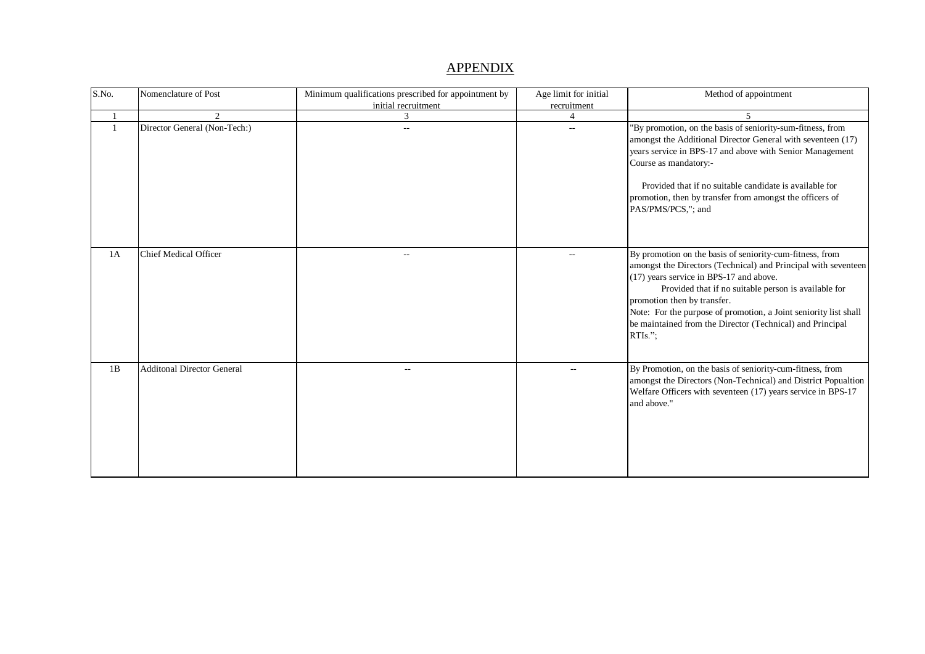## **APPENDIX**

| S.No. | Nomenclature of Post              | Minimum qualifications prescribed for appointment by<br>initial recruitment | Age limit for initial<br>recruitment | Method of appointment                                                                                                                                                                                                                                                                                                                                                                                       |
|-------|-----------------------------------|-----------------------------------------------------------------------------|--------------------------------------|-------------------------------------------------------------------------------------------------------------------------------------------------------------------------------------------------------------------------------------------------------------------------------------------------------------------------------------------------------------------------------------------------------------|
|       | $\mathfrak{D}$                    | 3                                                                           | 4                                    | $\overline{\mathcal{L}}$                                                                                                                                                                                                                                                                                                                                                                                    |
|       | Director General (Non-Tech:)      | $\mathcal{L}_{\mathcal{A}}$                                                 | $\mathbf{u}$                         | "By promotion, on the basis of seniority-sum-fitness, from<br>amongst the Additional Director General with seventeen (17)<br>years service in BPS-17 and above with Senior Management<br>Course as mandatory:-<br>Provided that if no suitable candidate is available for<br>promotion, then by transfer from amongst the officers of<br>PAS/PMS/PCS,"; and                                                 |
| 1A    | Chief Medical Officer             | $\mathcal{L}_{\mathcal{F}}$                                                 | $\overline{\phantom{a}}$             | By promotion on the basis of seniority-cum-fitness, from<br>amongst the Directors (Technical) and Principal with seventeen<br>(17) years service in BPS-17 and above.<br>Provided that if no suitable person is available for<br>promotion then by transfer.<br>Note: For the purpose of promotion, a Joint seniority list shall<br>be maintained from the Director (Technical) and Principal<br>$RTIs.$ "; |
| 1B    | <b>Additonal Director General</b> | --                                                                          | $\overline{\phantom{m}}$             | By Promotion, on the basis of seniority-cum-fitness, from<br>amongst the Directors (Non-Technical) and District Popualtion<br>Welfare Officers with seventeen (17) years service in BPS-17<br>and above."                                                                                                                                                                                                   |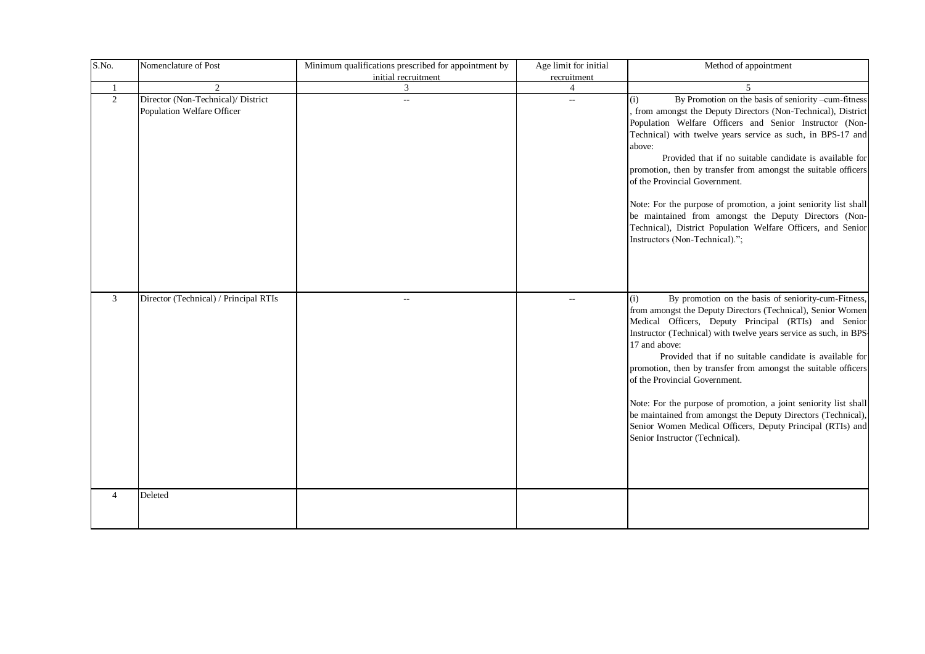| S.No. | Nomenclature of Post                                             | Minimum qualifications prescribed for appointment by<br>initial recruitment | Age limit for initial<br>recruitment | Method of appointment                                                                                                                                                                                                                                                                                                                                                                                                                                                                                                                                                                                                                                                    |
|-------|------------------------------------------------------------------|-----------------------------------------------------------------------------|--------------------------------------|--------------------------------------------------------------------------------------------------------------------------------------------------------------------------------------------------------------------------------------------------------------------------------------------------------------------------------------------------------------------------------------------------------------------------------------------------------------------------------------------------------------------------------------------------------------------------------------------------------------------------------------------------------------------------|
|       | $\mathfrak{D}$                                                   | 3                                                                           | 4                                    |                                                                                                                                                                                                                                                                                                                                                                                                                                                                                                                                                                                                                                                                          |
| 2     | Director (Non-Technical)/ District<br>Population Welfare Officer | $\overline{\phantom{a}}$                                                    | $-$                                  | By Promotion on the basis of seniority -cum-fitness<br>(i)<br>from amongst the Deputy Directors (Non-Technical), District<br>Population Welfare Officers and Senior Instructor (Non-<br>Technical) with twelve years service as such, in BPS-17 and<br>above:<br>Provided that if no suitable candidate is available for<br>promotion, then by transfer from amongst the suitable officers<br>of the Provincial Government.<br>Note: For the purpose of promotion, a joint seniority list shall<br>be maintained from amongst the Deputy Directors (Non-<br>Technical), District Population Welfare Officers, and Senior<br>Instructors (Non-Technical).";               |
| 3     | Director (Technical) / Principal RTIs                            | $\sim$ $\sim$                                                               |                                      | By promotion on the basis of seniority-cum-Fitness,<br>(i)<br>from amongst the Deputy Directors (Technical), Senior Women<br>Medical Officers, Deputy Principal (RTIs) and Senior<br>Instructor (Technical) with twelve years service as such, in BPS<br>17 and above:<br>Provided that if no suitable candidate is available for<br>promotion, then by transfer from amongst the suitable officers<br>of the Provincial Government.<br>Note: For the purpose of promotion, a joint seniority list shall<br>be maintained from amongst the Deputy Directors (Technical),<br>Senior Women Medical Officers, Deputy Principal (RTIs) and<br>Senior Instructor (Technical). |
| 4     | Deleted                                                          |                                                                             |                                      |                                                                                                                                                                                                                                                                                                                                                                                                                                                                                                                                                                                                                                                                          |
|       |                                                                  |                                                                             |                                      |                                                                                                                                                                                                                                                                                                                                                                                                                                                                                                                                                                                                                                                                          |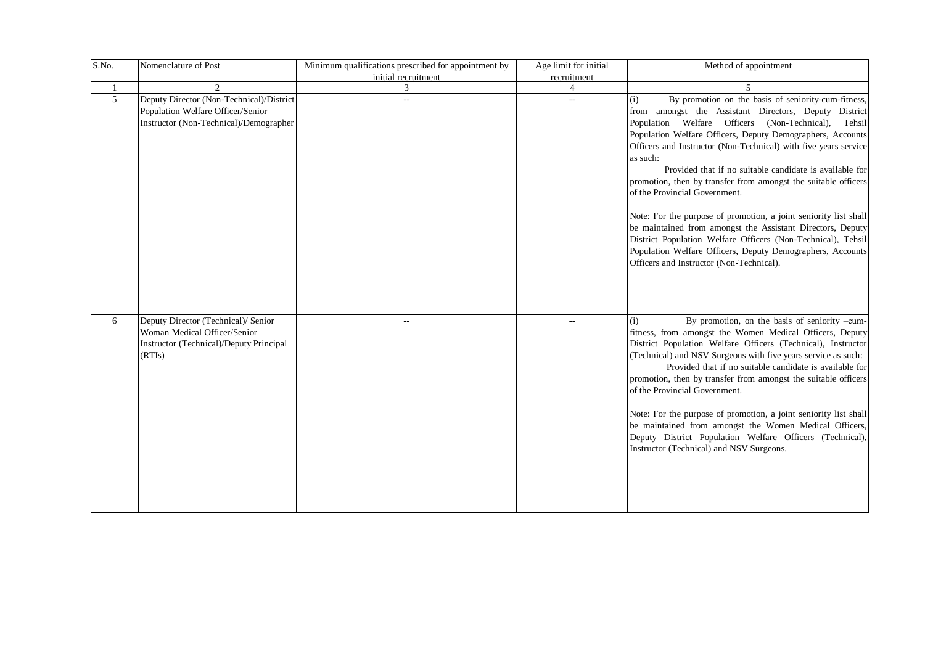| S.No.        | Nomenclature of Post                                                                                                     | Minimum qualifications prescribed for appointment by<br>initial recruitment | Age limit for initial    | Method of appointment                                                                                                                                                                                                                                                                                                                                                                                                                                                                                                                                                                                                                                                                                                                                                                                |
|--------------|--------------------------------------------------------------------------------------------------------------------------|-----------------------------------------------------------------------------|--------------------------|------------------------------------------------------------------------------------------------------------------------------------------------------------------------------------------------------------------------------------------------------------------------------------------------------------------------------------------------------------------------------------------------------------------------------------------------------------------------------------------------------------------------------------------------------------------------------------------------------------------------------------------------------------------------------------------------------------------------------------------------------------------------------------------------------|
| $\mathbf{1}$ |                                                                                                                          | 3                                                                           | recruitment<br>4         |                                                                                                                                                                                                                                                                                                                                                                                                                                                                                                                                                                                                                                                                                                                                                                                                      |
| 5            | Deputy Director (Non-Technical)/District<br>Population Welfare Officer/Senior<br>Instructor (Non-Technical)/Demographer  | $\overline{\phantom{a}}$                                                    | $\overline{\phantom{a}}$ | By promotion on the basis of seniority-cum-fitness,<br>(i)<br>from amongst the Assistant Directors, Deputy District<br>Population Welfare Officers (Non-Technical),<br>Tehsil<br>Population Welfare Officers, Deputy Demographers, Accounts<br>Officers and Instructor (Non-Technical) with five years service<br>as such:<br>Provided that if no suitable candidate is available for<br>promotion, then by transfer from amongst the suitable officers<br>of the Provincial Government.<br>Note: For the purpose of promotion, a joint seniority list shall<br>be maintained from amongst the Assistant Directors, Deputy<br>District Population Welfare Officers (Non-Technical), Tehsil<br>Population Welfare Officers, Deputy Demographers, Accounts<br>Officers and Instructor (Non-Technical). |
| 6            | Deputy Director (Technical)/ Senior<br>Woman Medical Officer/Senior<br>Instructor (Technical)/Deputy Principal<br>(RTIs) | $\mathbf{u}$                                                                | $\overline{\phantom{a}}$ | By promotion, on the basis of seniority -cum-<br>(i)<br>fitness, from amongst the Women Medical Officers, Deputy<br>District Population Welfare Officers (Technical), Instructor<br>(Technical) and NSV Surgeons with five years service as such:<br>Provided that if no suitable candidate is available for<br>promotion, then by transfer from amongst the suitable officers<br>of the Provincial Government.<br>Note: For the purpose of promotion, a joint seniority list shall<br>be maintained from amongst the Women Medical Officers,<br>Deputy District Population Welfare Officers (Technical),<br>Instructor (Technical) and NSV Surgeons.                                                                                                                                                |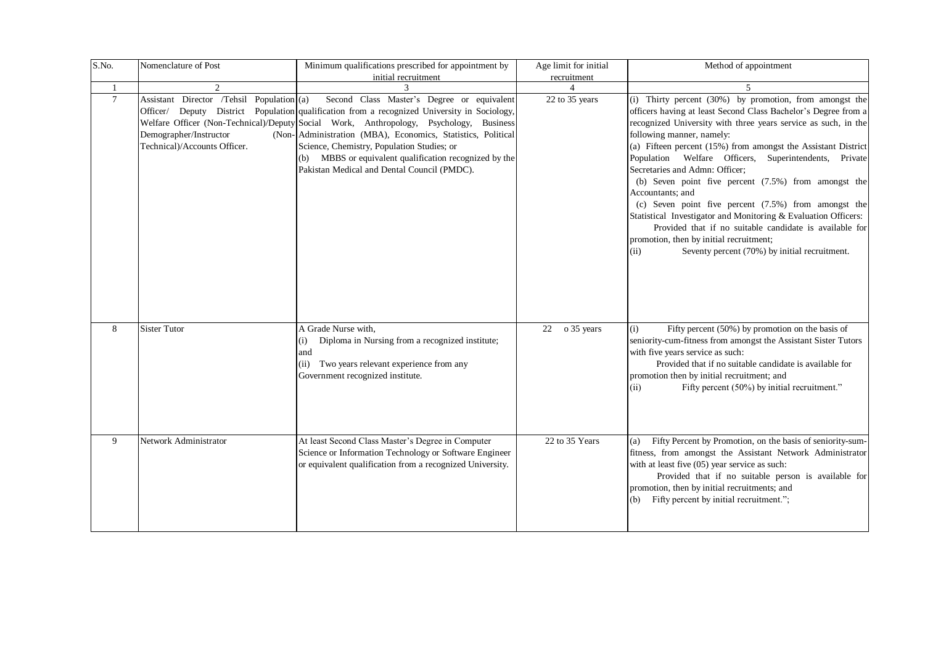| S.No.           | Nomenclature of Post                                                                                | Minimum qualifications prescribed for appointment by<br>initial recruitment                                                                                                                                                                                                                                                                                                                                                                                | Age limit for initial<br>recruitment | Method of appointment                                                                                                                                                                                                                                                                                                                                                                                                                                                                                                                                                                                                                                                                                                                                         |
|-----------------|-----------------------------------------------------------------------------------------------------|------------------------------------------------------------------------------------------------------------------------------------------------------------------------------------------------------------------------------------------------------------------------------------------------------------------------------------------------------------------------------------------------------------------------------------------------------------|--------------------------------------|---------------------------------------------------------------------------------------------------------------------------------------------------------------------------------------------------------------------------------------------------------------------------------------------------------------------------------------------------------------------------------------------------------------------------------------------------------------------------------------------------------------------------------------------------------------------------------------------------------------------------------------------------------------------------------------------------------------------------------------------------------------|
| $\overline{1}$  | $\mathcal{D}_{\mathcal{L}}$                                                                         |                                                                                                                                                                                                                                                                                                                                                                                                                                                            |                                      | $\overline{\phantom{0}}$                                                                                                                                                                                                                                                                                                                                                                                                                                                                                                                                                                                                                                                                                                                                      |
| $7\phantom{.0}$ | Assistant Director /Tehsil Population (a)<br>Demographer/Instructor<br>Technical)/Accounts Officer. | Second Class Master's Degree or equivalent<br>Officer/ Deputy District Population qualification from a recognized University in Sociology,<br>Welfare Officer (Non-Technical)/Deputy Social Work, Anthropology, Psychology, Business<br>(Non-Administration (MBA), Economics, Statistics, Political<br>Science, Chemistry, Population Studies; or<br>(b) MBBS or equivalent qualification recognized by the<br>Pakistan Medical and Dental Council (PMDC). | 22 to 35 years                       | (i) Thirty percent (30%) by promotion, from amongst the<br>officers having at least Second Class Bachelor's Degree from a<br>recognized University with three years service as such, in the<br>following manner, namely:<br>(a) Fifteen percent (15%) from amongst the Assistant District<br>Population Welfare Officers, Superintendents, Private<br>Secretaries and Admn: Officer;<br>(b) Seven point five percent $(7.5%)$ from amongst the<br>Accountants; and<br>(c) Seven point five percent $(7.5%)$ from amongst the<br>Statistical Investigator and Monitoring & Evaluation Officers:<br>Provided that if no suitable candidate is available for<br>promotion, then by initial recruitment;<br>Seventy percent (70%) by initial recruitment.<br>(ii) |
| 8               | <b>Sister Tutor</b>                                                                                 | A Grade Nurse with,<br>Diploma in Nursing from a recognized institute;<br>(i)<br>and<br>(ii) Two years relevant experience from any<br>Government recognized institute.                                                                                                                                                                                                                                                                                    | o 35 years<br>22                     | Fifty percent $(50\%)$ by promotion on the basis of<br>(i)<br>seniority-cum-fitness from amongst the Assistant Sister Tutors<br>with five years service as such:<br>Provided that if no suitable candidate is available for<br>promotion then by initial recruitment; and<br>Fifty percent (50%) by initial recruitment."<br>(ii)                                                                                                                                                                                                                                                                                                                                                                                                                             |
| 9               | Network Administrator                                                                               | At least Second Class Master's Degree in Computer<br>Science or Information Technology or Software Engineer<br>or equivalent qualification from a recognized University.                                                                                                                                                                                                                                                                                   | 22 to 35 Years                       | Fifty Percent by Promotion, on the basis of seniority-sum-<br>(a)<br>fitness, from amongst the Assistant Network Administrator<br>with at least five (05) year service as such:<br>Provided that if no suitable person is available for<br>promotion, then by initial recruitments; and<br>Fifty percent by initial recruitment.";                                                                                                                                                                                                                                                                                                                                                                                                                            |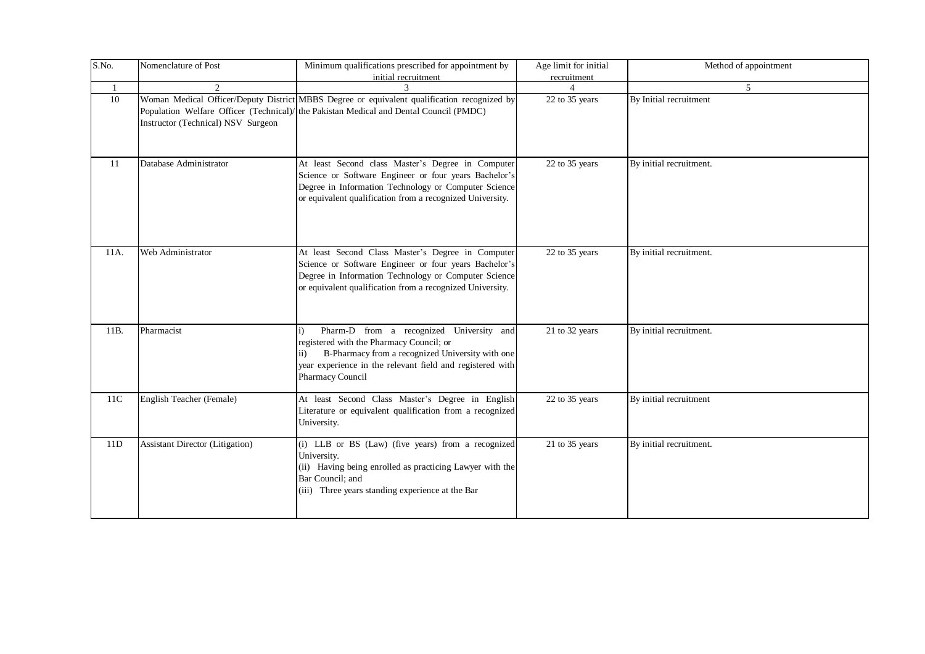| S.No. | Nomenclature of Post                   | Minimum qualifications prescribed for appointment by<br>initial recruitment                                                                                                                                                                    | Age limit for initial<br>recruitment | Method of appointment   |
|-------|----------------------------------------|------------------------------------------------------------------------------------------------------------------------------------------------------------------------------------------------------------------------------------------------|--------------------------------------|-------------------------|
|       | $\mathfrak{D}$                         |                                                                                                                                                                                                                                                | $\Lambda$                            | 5                       |
| 10    | Instructor (Technical) NSV Surgeon     | Woman Medical Officer/Deputy District MBBS Degree or equivalent qualification recognized by<br>Population Welfare Officer (Technical)/ the Pakistan Medical and Dental Council (PMDC)                                                          | 22 to 35 years                       | By Initial recruitment  |
| 11    | Database Administrator                 | At least Second class Master's Degree in Computer<br>Science or Software Engineer or four years Bachelor's<br>Degree in Information Technology or Computer Science<br>or equivalent qualification from a recognized University.                | 22 to 35 years                       | By initial recruitment. |
| 11A.  | Web Administrator                      | At least Second Class Master's Degree in Computer<br>Science or Software Engineer or four years Bachelor's<br>Degree in Information Technology or Computer Science<br>or equivalent qualification from a recognized University.                | 22 to 35 years                       | By initial recruitment. |
| 11B.  | Pharmacist                             | Pharm-D from a recognized University and<br>$\ddot{1}$<br>registered with the Pharmacy Council; or<br>B-Pharmacy from a recognized University with one<br>ii)<br>year experience in the relevant field and registered with<br>Pharmacy Council | 21 to 32 years                       | By initial recruitment. |
| 11C   | English Teacher (Female)               | At least Second Class Master's Degree in English<br>Literature or equivalent qualification from a recognized<br>University.                                                                                                                    | 22 to 35 years                       | By initial recruitment  |
| 11D   | <b>Assistant Director (Litigation)</b> | (i) LLB or BS (Law) (five years) from a recognized<br>University.<br>(ii) Having being enrolled as practicing Lawyer with the<br>Bar Council; and<br>(iii) Three years standing experience at the Bar                                          | 21 to 35 years                       | By initial recruitment. |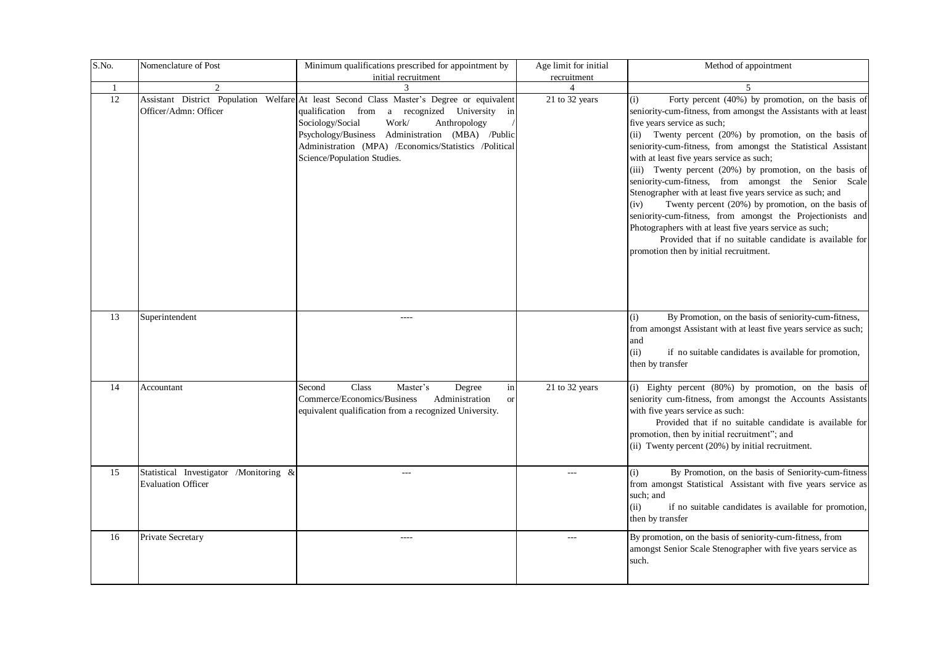| S.No. | Nomenclature of Post                                                | Minimum qualifications prescribed for appointment by<br>initial recruitment                                                                                                                                                                                                                                                            | Age limit for initial<br>recruitment | Method of appointment                                                                                                                                                                                                                                                                                                                                                                                                                                                                                                                                                                                                                                                                                                                                                                                              |
|-------|---------------------------------------------------------------------|----------------------------------------------------------------------------------------------------------------------------------------------------------------------------------------------------------------------------------------------------------------------------------------------------------------------------------------|--------------------------------------|--------------------------------------------------------------------------------------------------------------------------------------------------------------------------------------------------------------------------------------------------------------------------------------------------------------------------------------------------------------------------------------------------------------------------------------------------------------------------------------------------------------------------------------------------------------------------------------------------------------------------------------------------------------------------------------------------------------------------------------------------------------------------------------------------------------------|
| -1    | $\overline{c}$                                                      | 3                                                                                                                                                                                                                                                                                                                                      | $\overline{4}$                       | 5                                                                                                                                                                                                                                                                                                                                                                                                                                                                                                                                                                                                                                                                                                                                                                                                                  |
| 12    | Officer/Admn: Officer                                               | Assistant District Population Welfare At least Second Class Master's Degree or equivalent<br>qualification from<br>a recognized University in<br>Sociology/Social<br>Work/<br>Anthropology<br>Psychology/Business Administration (MBA) /Public<br>Administration (MPA) /Economics/Statistics /Political<br>Science/Population Studies. | 21 to 32 years                       | Forty percent (40%) by promotion, on the basis of<br>(i)<br>seniority-cum-fitness, from amongst the Assistants with at least<br>five years service as such;<br>(ii) Twenty percent (20%) by promotion, on the basis of<br>seniority-cum-fitness, from amongst the Statistical Assistant<br>with at least five years service as such;<br>(iii) Twenty percent (20%) by promotion, on the basis of<br>seniority-cum-fitness, from amongst the Senior Scale<br>Stenographer with at least five years service as such; and<br>Twenty percent (20%) by promotion, on the basis of<br>(iv)<br>seniority-cum-fitness, from amongst the Projectionists and<br>Photographers with at least five years service as such;<br>Provided that if no suitable candidate is available for<br>promotion then by initial recruitment. |
| 13    | Superintendent                                                      | $---$                                                                                                                                                                                                                                                                                                                                  |                                      | (i)<br>By Promotion, on the basis of seniority-cum-fitness,<br>from amongst Assistant with at least five years service as such;<br>and<br>(ii)<br>if no suitable candidates is available for promotion,<br>then by transfer                                                                                                                                                                                                                                                                                                                                                                                                                                                                                                                                                                                        |
| 14    | Accountant                                                          | Class<br>Master's<br>in<br>Second<br>Degree<br>Commerce/Economics/Business<br>Administration<br><b>or</b><br>equivalent qualification from a recognized University.                                                                                                                                                                    | 21 to 32 years                       | (i) Eighty percent (80%) by promotion, on the basis of<br>seniority cum-fitness, from amongst the Accounts Assistants<br>with five years service as such:<br>Provided that if no suitable candidate is available for<br>promotion, then by initial recruitment"; and<br>(ii) Twenty percent (20%) by initial recruitment.                                                                                                                                                                                                                                                                                                                                                                                                                                                                                          |
| 15    | Statistical Investigator /Monitoring &<br><b>Evaluation Officer</b> | $- - -$                                                                                                                                                                                                                                                                                                                                | $---$                                | (i)<br>By Promotion, on the basis of Seniority-cum-fitness<br>from amongst Statistical Assistant with five years service as<br>such; and<br>(ii)<br>if no suitable candidates is available for promotion,<br>then by transfer                                                                                                                                                                                                                                                                                                                                                                                                                                                                                                                                                                                      |
| 16    | Private Secretary                                                   | $---$                                                                                                                                                                                                                                                                                                                                  | $\sim$ $\sim$ $\sim$                 | By promotion, on the basis of seniority-cum-fitness, from<br>amongst Senior Scale Stenographer with five years service as<br>such.                                                                                                                                                                                                                                                                                                                                                                                                                                                                                                                                                                                                                                                                                 |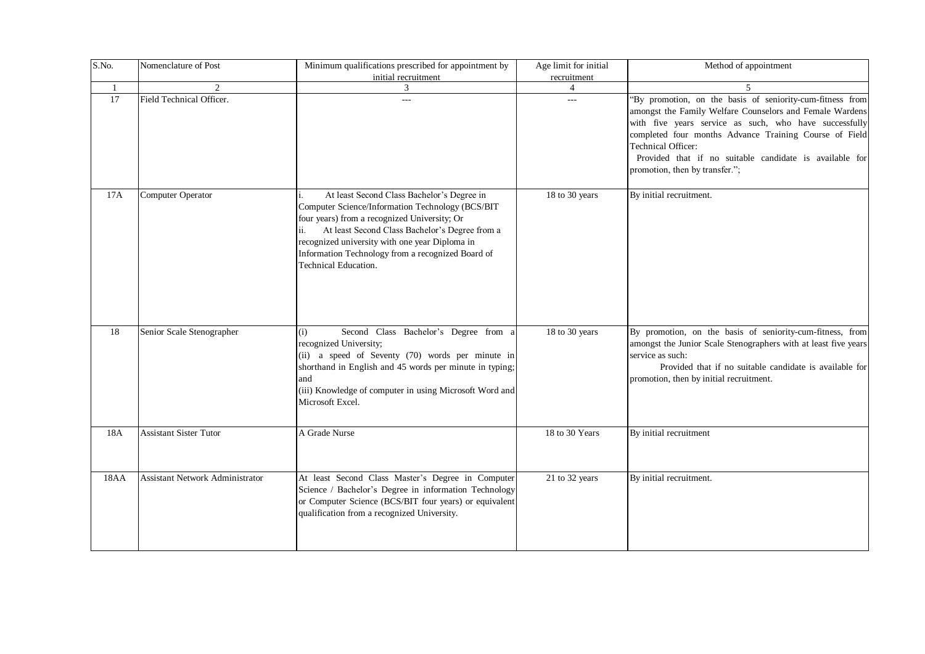| S.No.        | Nomenclature of Post                   | Minimum qualifications prescribed for appointment by                                                                                                                                                                                                                                                                            | Age limit for initial | Method of appointment                                                                                                                                                                                                                                                                                                                                        |
|--------------|----------------------------------------|---------------------------------------------------------------------------------------------------------------------------------------------------------------------------------------------------------------------------------------------------------------------------------------------------------------------------------|-----------------------|--------------------------------------------------------------------------------------------------------------------------------------------------------------------------------------------------------------------------------------------------------------------------------------------------------------------------------------------------------------|
|              |                                        | initial recruitment                                                                                                                                                                                                                                                                                                             | recruitment           |                                                                                                                                                                                                                                                                                                                                                              |
| $\mathbf{1}$ | 2                                      | 3                                                                                                                                                                                                                                                                                                                               | $\overline{4}$        | $\mathfrak{F}$                                                                                                                                                                                                                                                                                                                                               |
| 17           | Field Technical Officer.               | ---                                                                                                                                                                                                                                                                                                                             | $---$                 | "By promotion, on the basis of seniority-cum-fitness from<br>amongst the Family Welfare Counselors and Female Wardens<br>with five years service as such, who have successfully<br>completed four months Advance Training Course of Field<br>Technical Officer:<br>Provided that if no suitable candidate is available for<br>promotion, then by transfer."; |
| 17A          | Computer Operator                      | At least Second Class Bachelor's Degree in<br>Computer Science/Information Technology (BCS/BIT<br>four years) from a recognized University; Or<br>At least Second Class Bachelor's Degree from a<br>recognized university with one year Diploma in<br>Information Technology from a recognized Board of<br>Technical Education. | 18 to 30 years        | By initial recruitment.                                                                                                                                                                                                                                                                                                                                      |
| 18           | Senior Scale Stenographer              | Second Class Bachelor's Degree from a<br>(i)<br>recognized University;<br>(ii) a speed of Seventy (70) words per minute in<br>shorthand in English and 45 words per minute in typing;<br>and<br>(iii) Knowledge of computer in using Microsoft Word and<br>Microsoft Excel.                                                     | 18 to 30 years        | By promotion, on the basis of seniority-cum-fitness, from<br>amongst the Junior Scale Stenographers with at least five years<br>service as such:<br>Provided that if no suitable candidate is available for<br>promotion, then by initial recruitment.                                                                                                       |
| 18A          | <b>Assistant Sister Tutor</b>          | A Grade Nurse                                                                                                                                                                                                                                                                                                                   | 18 to 30 Years        | By initial recruitment                                                                                                                                                                                                                                                                                                                                       |
| 18AA         | <b>Assistant Network Administrator</b> | At least Second Class Master's Degree in Computer<br>Science / Bachelor's Degree in information Technology<br>or Computer Science (BCS/BIT four years) or equivalent<br>qualification from a recognized University.                                                                                                             | 21 to 32 years        | By initial recruitment.                                                                                                                                                                                                                                                                                                                                      |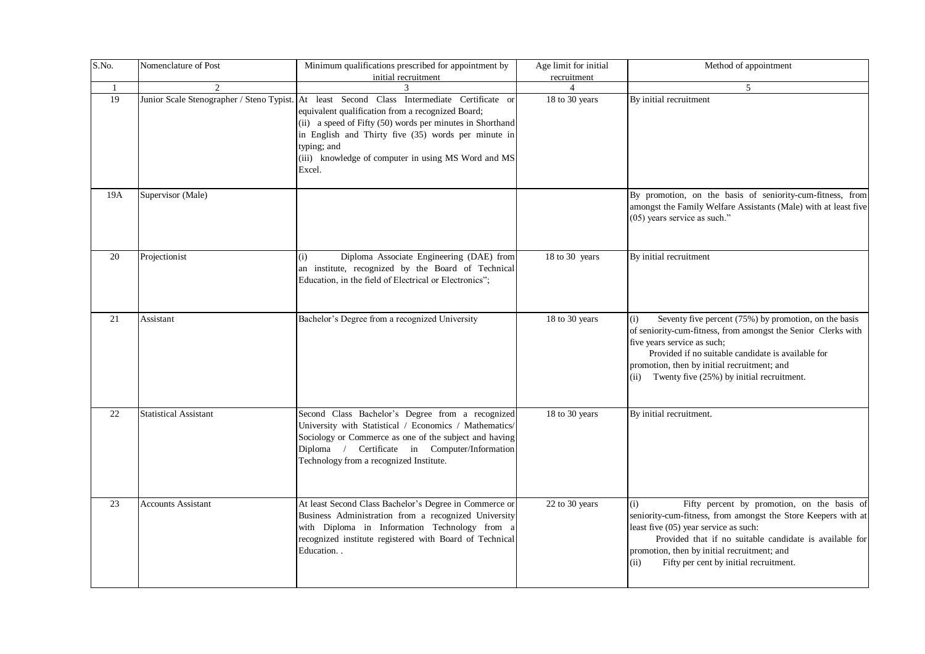| S.No. | Nomenclature of Post         | Minimum qualifications prescribed for appointment by<br>initial recruitment                                                                                                                                                                                                                                                                          | Age limit for initial<br>recruitment | Method of appointment                                                                                                                                                                                                                                                                                                    |
|-------|------------------------------|------------------------------------------------------------------------------------------------------------------------------------------------------------------------------------------------------------------------------------------------------------------------------------------------------------------------------------------------------|--------------------------------------|--------------------------------------------------------------------------------------------------------------------------------------------------------------------------------------------------------------------------------------------------------------------------------------------------------------------------|
| -1    | 2                            | 3                                                                                                                                                                                                                                                                                                                                                    | $\overline{4}$                       | 5                                                                                                                                                                                                                                                                                                                        |
| 19    |                              | Junior Scale Stenographer / Steno Typist. At least Second Class Intermediate Certificate or<br>equivalent qualification from a recognized Board;<br>(ii) a speed of Fifty (50) words per minutes in Shorthand<br>in English and Thirty five (35) words per minute in<br>typing; and<br>(iii) knowledge of computer in using MS Word and MS<br>Excel. | 18 to 30 years                       | By initial recruitment                                                                                                                                                                                                                                                                                                   |
| 19A   | Supervisor (Male)            |                                                                                                                                                                                                                                                                                                                                                      |                                      | By promotion, on the basis of seniority-cum-fitness, from<br>amongst the Family Welfare Assistants (Male) with at least five<br>(05) years service as such."                                                                                                                                                             |
| 20    | Projectionist                | Diploma Associate Engineering (DAE) from<br>(i)<br>an institute, recognized by the Board of Technical<br>Education, in the field of Electrical or Electronics";                                                                                                                                                                                      | 18 to 30 years                       | By initial recruitment                                                                                                                                                                                                                                                                                                   |
| 21    | Assistant                    | Bachelor's Degree from a recognized University                                                                                                                                                                                                                                                                                                       | 18 to 30 years                       | Seventy five percent (75%) by promotion, on the basis<br>(i)<br>of seniority-cum-fitness, from amongst the Senior Clerks with<br>five years service as such;<br>Provided if no suitable candidate is available for<br>promotion, then by initial recruitment; and<br>Twenty five (25%) by initial recruitment.<br>(ii)   |
| 22    | <b>Statistical Assistant</b> | Second Class Bachelor's Degree from a recognized<br>University with Statistical / Economics / Mathematics/<br>Sociology or Commerce as one of the subject and having<br>Diploma / Certificate in Computer/Information<br>Technology from a recognized Institute.                                                                                     | 18 to 30 years                       | By initial recruitment.                                                                                                                                                                                                                                                                                                  |
| 23    | <b>Accounts Assistant</b>    | At least Second Class Bachelor's Degree in Commerce or<br>Business Administration from a recognized University<br>with Diploma in Information Technology from a<br>recognized institute registered with Board of Technical<br>Education.                                                                                                             | 22 to 30 years                       | Fifty percent by promotion, on the basis of<br>(i)<br>seniority-cum-fitness, from amongst the Store Keepers with at<br>least five (05) year service as such:<br>Provided that if no suitable candidate is available for<br>promotion, then by initial recruitment; and<br>Fifty per cent by initial recruitment.<br>(ii) |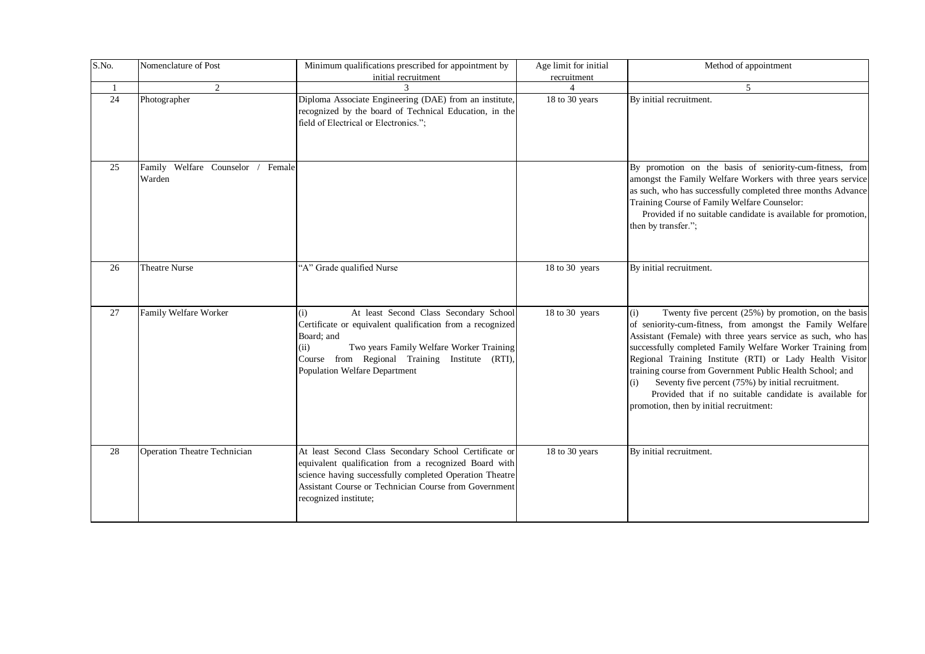| S.No. | Nomenclature of Post                         | Minimum qualifications prescribed for appointment by<br>initial recruitment                                                                                                                                                                                            | Age limit for initial<br>recruitment | Method of appointment                                                                                                                                                                                                                                                                                                                                                                                                                                                                                                                              |
|-------|----------------------------------------------|------------------------------------------------------------------------------------------------------------------------------------------------------------------------------------------------------------------------------------------------------------------------|--------------------------------------|----------------------------------------------------------------------------------------------------------------------------------------------------------------------------------------------------------------------------------------------------------------------------------------------------------------------------------------------------------------------------------------------------------------------------------------------------------------------------------------------------------------------------------------------------|
|       | $\mathfrak{D}$                               |                                                                                                                                                                                                                                                                        |                                      | $\overline{\phantom{0}}$                                                                                                                                                                                                                                                                                                                                                                                                                                                                                                                           |
| 24    | Photographer                                 | Diploma Associate Engineering (DAE) from an institute,<br>recognized by the board of Technical Education, in the<br>field of Electrical or Electronics.";                                                                                                              | 18 to 30 years                       | By initial recruitment.                                                                                                                                                                                                                                                                                                                                                                                                                                                                                                                            |
| 25    | Family Welfare Counselor<br>Female<br>Warden |                                                                                                                                                                                                                                                                        |                                      | By promotion on the basis of seniority-cum-fitness, from<br>amongst the Family Welfare Workers with three years service<br>as such, who has successfully completed three months Advance<br>Training Course of Family Welfare Counselor:<br>Provided if no suitable candidate is available for promotion,<br>then by transfer.";                                                                                                                                                                                                                    |
| 26    | Theatre Nurse                                | "A" Grade qualified Nurse                                                                                                                                                                                                                                              | 18 to 30 years                       | By initial recruitment.                                                                                                                                                                                                                                                                                                                                                                                                                                                                                                                            |
| 27    | Family Welfare Worker                        | At least Second Class Secondary School<br>(i)<br>Certificate or equivalent qualification from a recognized<br>Board; and<br>Two years Family Welfare Worker Training<br>(ii)<br>Course from Regional Training Institute (RTI),<br><b>Population Welfare Department</b> | 18 to 30 years                       | Twenty five percent (25%) by promotion, on the basis<br>(i)<br>of seniority-cum-fitness, from amongst the Family Welfare<br>Assistant (Female) with three years service as such, who has<br>successfully completed Family Welfare Worker Training from<br>Regional Training Institute (RTI) or Lady Health Visitor<br>training course from Government Public Health School; and<br>Seventy five percent (75%) by initial recruitment.<br>(i)<br>Provided that if no suitable candidate is available for<br>promotion, then by initial recruitment: |
| 28    | <b>Operation Theatre Technician</b>          | At least Second Class Secondary School Certificate or<br>equivalent qualification from a recognized Board with<br>science having successfully completed Operation Theatre<br>Assistant Course or Technician Course from Government<br>recognized institute;            | 18 to 30 years                       | By initial recruitment.                                                                                                                                                                                                                                                                                                                                                                                                                                                                                                                            |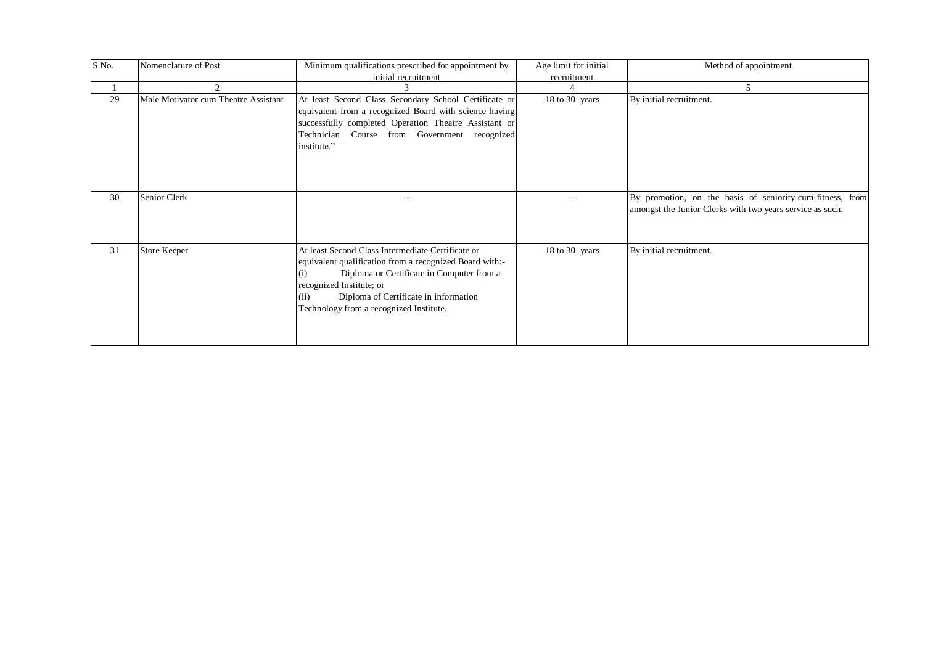| S.No. | Nomenclature of Post                 | Minimum qualifications prescribed for appointment by<br>initial recruitment                                                                                                                                                                                                              | Age limit for initial<br>recruitment | Method of appointment                                                                                                  |
|-------|--------------------------------------|------------------------------------------------------------------------------------------------------------------------------------------------------------------------------------------------------------------------------------------------------------------------------------------|--------------------------------------|------------------------------------------------------------------------------------------------------------------------|
|       |                                      |                                                                                                                                                                                                                                                                                          |                                      | 5                                                                                                                      |
| 29    | Male Motivator cum Theatre Assistant | At least Second Class Secondary School Certificate or<br>equivalent from a recognized Board with science having<br>successfully completed Operation Theatre Assistant or<br>Technician Course from Government recognized<br>institute."                                                  | 18 to 30 years                       | By initial recruitment.                                                                                                |
| 30    | Senior Clerk                         | $---$                                                                                                                                                                                                                                                                                    | $---$                                | By promotion, on the basis of seniority-cum-fitness, from<br>amongst the Junior Clerks with two years service as such. |
| 31    | <b>Store Keeper</b>                  | At least Second Class Intermediate Certificate or<br>equivalent qualification from a recognized Board with:-<br>Diploma or Certificate in Computer from a<br>(1)<br>recognized Institute; or<br>Diploma of Certificate in information<br>(ii)<br>Technology from a recognized Institute. | 18 to 30 years                       | By initial recruitment.                                                                                                |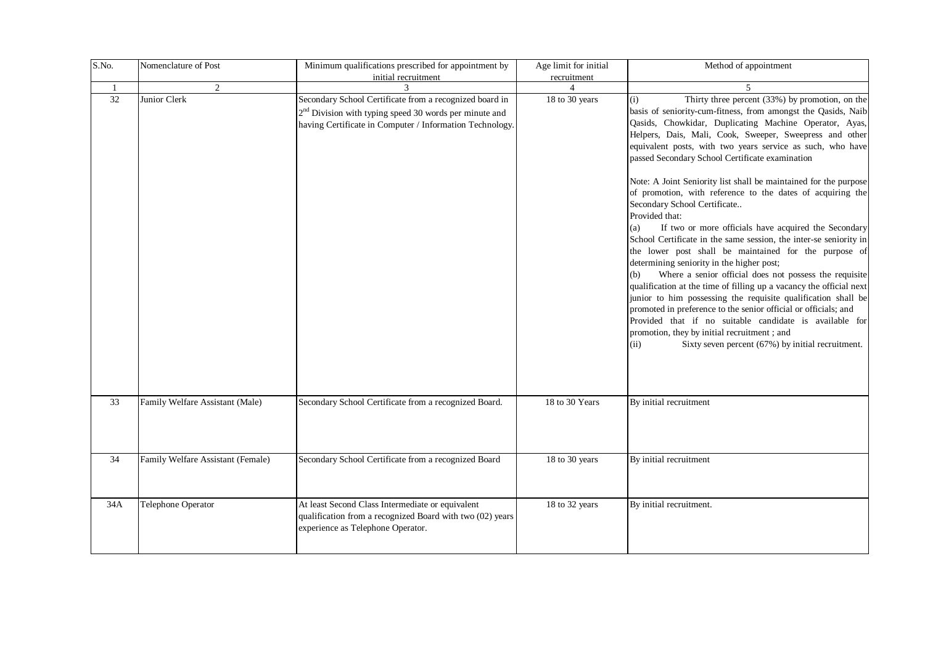| S.No.              | Nomenclature of Post              | Minimum qualifications prescribed for appointment by                                                                                                                            | Age limit for initial | Method of appointment                                                                                                                                                                                                                                                                                                                                                                                                                                                                                                                                                                                                                                                                                                                                                                                                                                                                                                                                                                                                                                                                                                                                                                                                                                     |
|--------------------|-----------------------------------|---------------------------------------------------------------------------------------------------------------------------------------------------------------------------------|-----------------------|-----------------------------------------------------------------------------------------------------------------------------------------------------------------------------------------------------------------------------------------------------------------------------------------------------------------------------------------------------------------------------------------------------------------------------------------------------------------------------------------------------------------------------------------------------------------------------------------------------------------------------------------------------------------------------------------------------------------------------------------------------------------------------------------------------------------------------------------------------------------------------------------------------------------------------------------------------------------------------------------------------------------------------------------------------------------------------------------------------------------------------------------------------------------------------------------------------------------------------------------------------------|
|                    |                                   | initial recruitment                                                                                                                                                             | recruitment           |                                                                                                                                                                                                                                                                                                                                                                                                                                                                                                                                                                                                                                                                                                                                                                                                                                                                                                                                                                                                                                                                                                                                                                                                                                                           |
| $\mathbf{1}$<br>32 | 2<br>Junior Clerk                 | Secondary School Certificate from a recognized board in<br>$2nd$ Division with typing speed 30 words per minute and<br>having Certificate in Computer / Information Technology. | 18 to 30 years        | $\overline{5}$<br>Thirty three percent (33%) by promotion, on the<br>(i)<br>basis of seniority-cum-fitness, from amongst the Qasids, Naib<br>Qasids, Chowkidar, Duplicating Machine Operator, Ayas,<br>Helpers, Dais, Mali, Cook, Sweeper, Sweepress and other<br>equivalent posts, with two years service as such, who have<br>passed Secondary School Certificate examination<br>Note: A Joint Seniority list shall be maintained for the purpose<br>of promotion, with reference to the dates of acquiring the<br>Secondary School Certificate<br>Provided that:<br>If two or more officials have acquired the Secondary<br>(a)<br>School Certificate in the same session, the inter-se seniority in<br>the lower post shall be maintained for the purpose of<br>determining seniority in the higher post;<br>Where a senior official does not possess the requisite<br>qualification at the time of filling up a vacancy the official next<br>junior to him possessing the requisite qualification shall be<br>promoted in preference to the senior official or officials; and<br>Provided that if no suitable candidate is available for<br>promotion, they by initial recruitment; and<br>Sixty seven percent (67%) by initial recruitment.<br>(ii) |
| 33                 | Family Welfare Assistant (Male)   | Secondary School Certificate from a recognized Board.                                                                                                                           | 18 to 30 Years        | By initial recruitment                                                                                                                                                                                                                                                                                                                                                                                                                                                                                                                                                                                                                                                                                                                                                                                                                                                                                                                                                                                                                                                                                                                                                                                                                                    |
| 34                 | Family Welfare Assistant (Female) | Secondary School Certificate from a recognized Board                                                                                                                            | 18 to 30 years        | By initial recruitment                                                                                                                                                                                                                                                                                                                                                                                                                                                                                                                                                                                                                                                                                                                                                                                                                                                                                                                                                                                                                                                                                                                                                                                                                                    |
| 34A                | Telephone Operator                | At least Second Class Intermediate or equivalent<br>qualification from a recognized Board with two (02) years<br>experience as Telephone Operator.                              | 18 to 32 years        | By initial recruitment.                                                                                                                                                                                                                                                                                                                                                                                                                                                                                                                                                                                                                                                                                                                                                                                                                                                                                                                                                                                                                                                                                                                                                                                                                                   |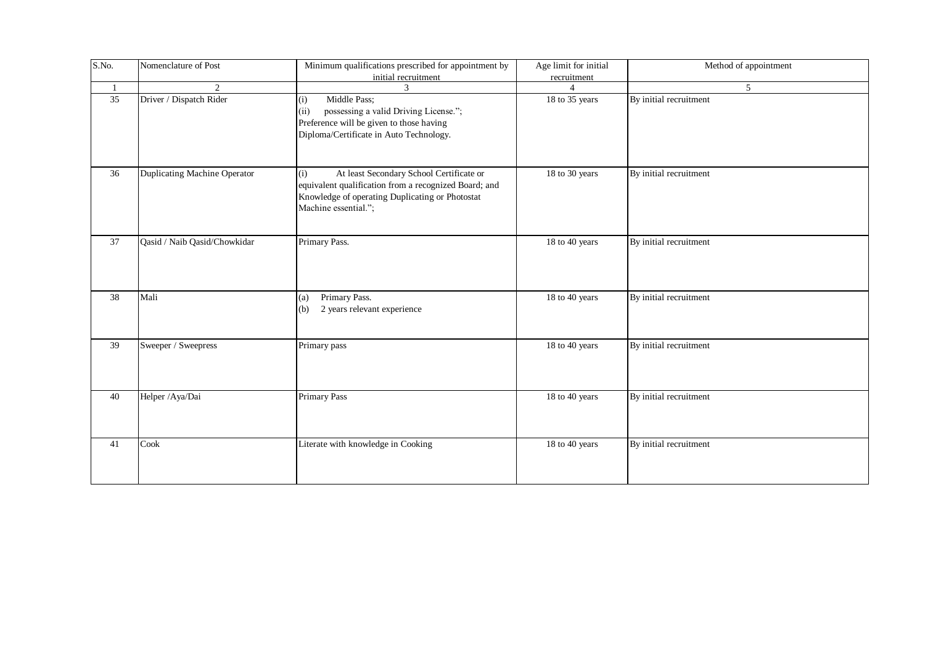| S.No. | Nomenclature of Post         | Minimum qualifications prescribed for appointment by<br>initial recruitment                                                                                                         | Age limit for initial<br>recruitment | Method of appointment  |
|-------|------------------------------|-------------------------------------------------------------------------------------------------------------------------------------------------------------------------------------|--------------------------------------|------------------------|
| -1    | $\overline{2}$               | 3                                                                                                                                                                                   | Δ                                    | 5 <sup>5</sup>         |
| 35    | Driver / Dispatch Rider      | Middle Pass;<br>(i)<br>possessing a valid Driving License.";<br>(ii)<br>Preference will be given to those having<br>Diploma/Certificate in Auto Technology.                         | 18 to 35 years                       | By initial recruitment |
| 36    | Duplicating Machine Operator | At least Secondary School Certificate or<br>(i)<br>equivalent qualification from a recognized Board; and<br>Knowledge of operating Duplicating or Photostat<br>Machine essential."; | 18 to 30 years                       | By initial recruitment |
| 37    | Qasid / Naib Qasid/Chowkidar | Primary Pass.                                                                                                                                                                       | 18 to 40 years                       | By initial recruitment |
| 38    | Mali                         | Primary Pass.<br>(a)<br>2 years relevant experience<br>(b)                                                                                                                          | 18 to 40 years                       | By initial recruitment |
| 39    | Sweeper / Sweepress          | Primary pass                                                                                                                                                                        | 18 to 40 years                       | By initial recruitment |
| 40    | Helper /Aya/Dai              | <b>Primary Pass</b>                                                                                                                                                                 | 18 to 40 years                       | By initial recruitment |
| 41    | Cook                         | Literate with knowledge in Cooking                                                                                                                                                  | 18 to 40 years                       | By initial recruitment |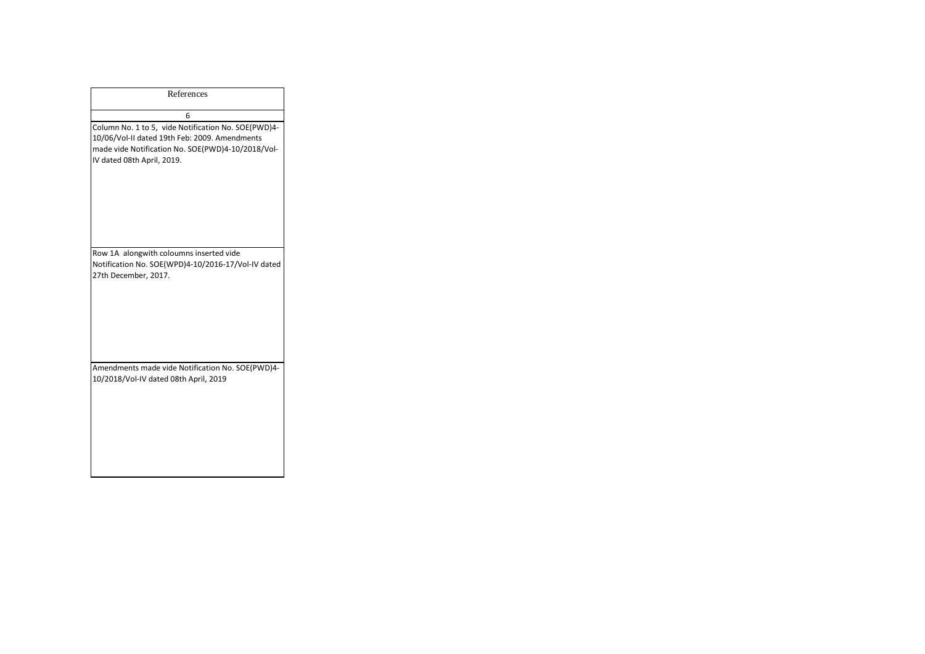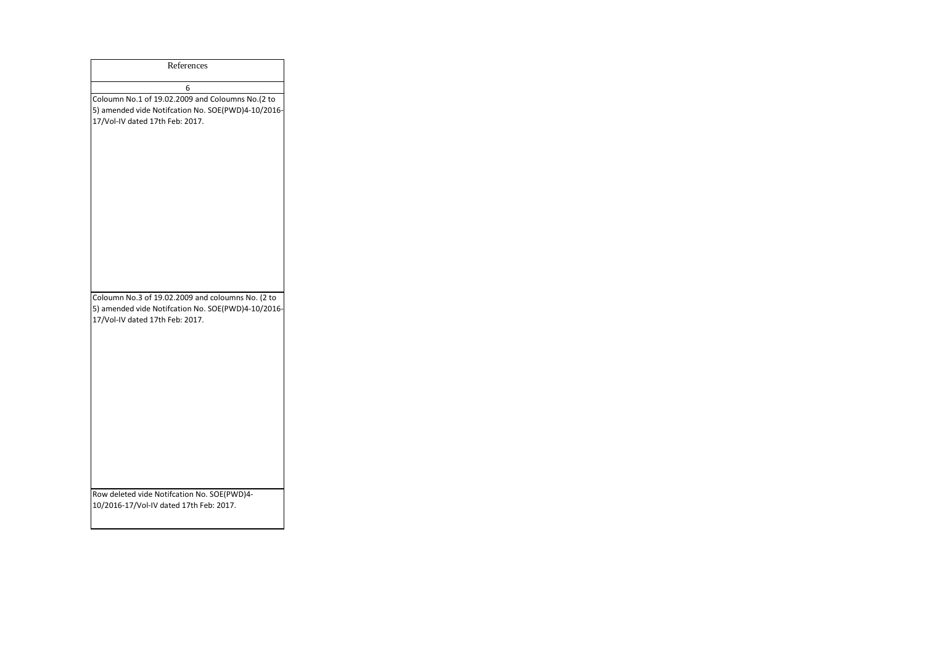| References                                                                                                                                                                                |
|-------------------------------------------------------------------------------------------------------------------------------------------------------------------------------------------|
|                                                                                                                                                                                           |
| 6<br>Coloumn No.1 of 19.02.2009 and Coloumns No.(2 to<br>5) amended vide Notifcation No. SOE(PWD)4-10/2016-<br>17/Vol-IV dated 17th Feb: 2017.                                            |
| Coloumn No.3 of 19.02.2009 and coloumns No. (2 to<br>5) amended vide Notifcation No. SOE(PWD)4-10/2016-<br>17/Vol-IV dated 17th Feb: 2017.<br>Row deleted vide Notifcation No. SOE(PWD)4- |
| 10/2016-17/Vol-IV dated 17th Feb: 2017.                                                                                                                                                   |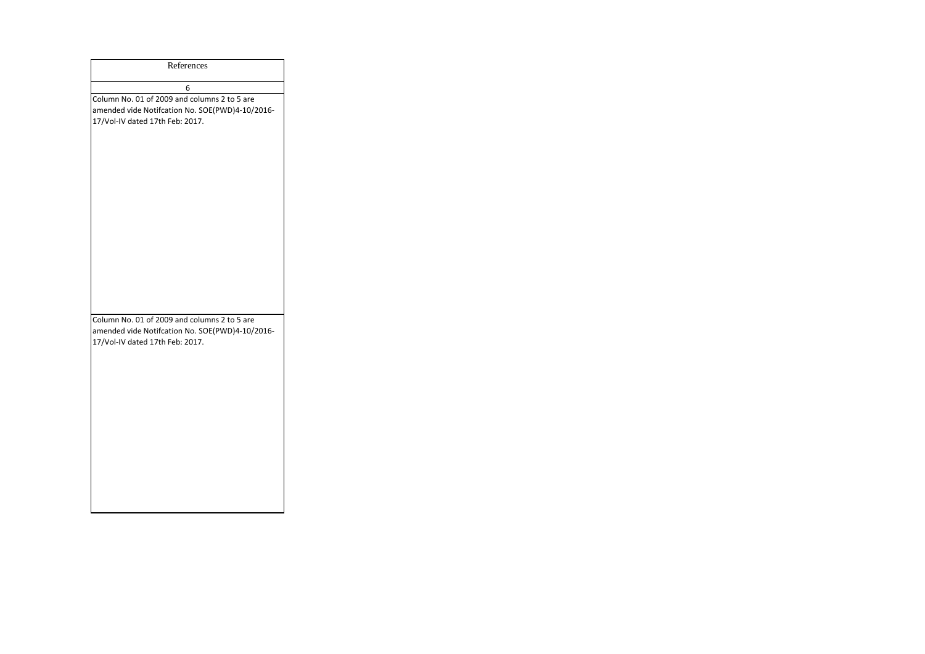| References                                                                                                                         |
|------------------------------------------------------------------------------------------------------------------------------------|
| 6                                                                                                                                  |
| Column No. 01 of 2009 and columns 2 to 5 are<br>amended vide Notifcation No. SOE(PWD)4-10/2016-<br>17/Vol-IV dated 17th Feb: 2017. |
| Column No. 01 of 2009 and columns 2 to 5 are<br>amended vide Notifcation No. SOE(PWD)4-10/2016-<br>17/Vol-IV dated 17th Feb: 2017. |
|                                                                                                                                    |
|                                                                                                                                    |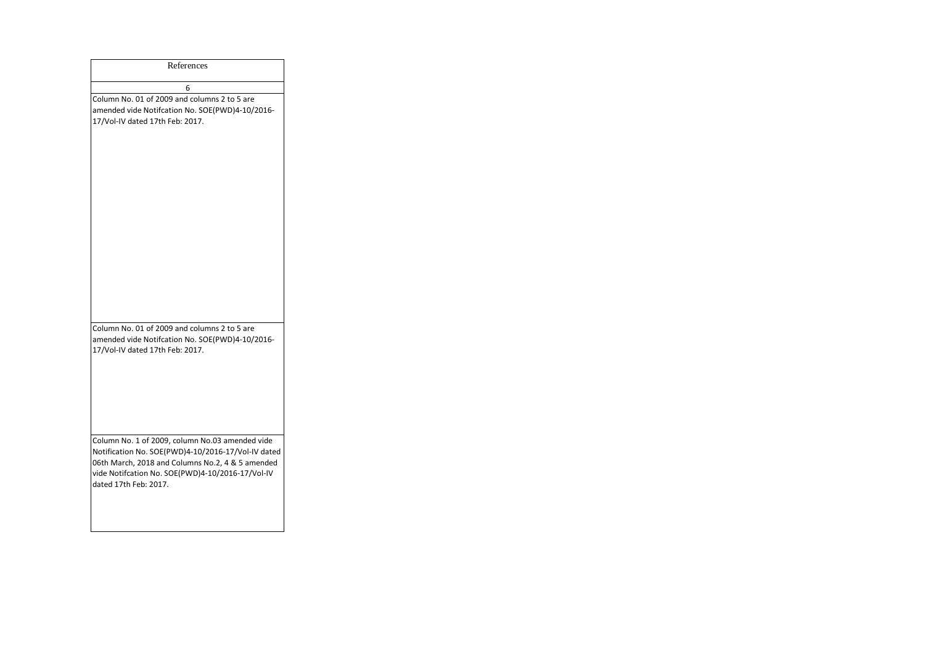| References                                                                                                                                                                                                                             |
|----------------------------------------------------------------------------------------------------------------------------------------------------------------------------------------------------------------------------------------|
| 6                                                                                                                                                                                                                                      |
| Column No. 01 of 2009 and columns 2 to 5 are<br>amended vide Notifcation No. SOE(PWD)4-10/2016-<br>17/Vol-IV dated 17th Feb: 2017.                                                                                                     |
| Column No. 01 of 2009 and columns 2 to 5 are<br>amended vide Notifcation No. SOE(PWD)4-10/2016-<br>17/Vol-IV dated 17th Feb: 2017.                                                                                                     |
| Column No. 1 of 2009, column No.03 amended vide<br>Notification No. SOE(PWD)4-10/2016-17/Vol-IV dated<br>06th March, 2018 and Columns No.2, 4 & 5 amended<br>vide Notifcation No. SOE(PWD)4-10/2016-17/Vol-IV<br>dated 17th Feb: 2017. |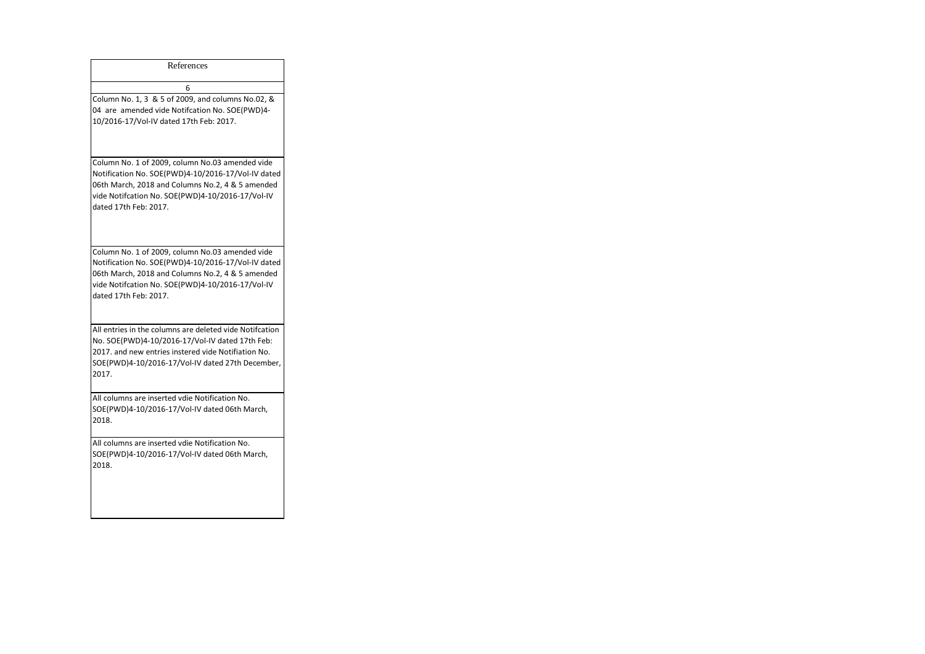| References                                                                                                                                                                                                                             |
|----------------------------------------------------------------------------------------------------------------------------------------------------------------------------------------------------------------------------------------|
| 6                                                                                                                                                                                                                                      |
| Column No. 1, 3 & 5 of 2009, and columns No.02, &<br>04 are amended vide Notifcation No. SOE(PWD)4-<br>10/2016-17/Vol-IV dated 17th Feb: 2017.                                                                                         |
| Column No. 1 of 2009, column No.03 amended vide<br>Notification No. SOE(PWD)4-10/2016-17/Vol-IV dated<br>06th March, 2018 and Columns No.2, 4 & 5 amended<br>vide Notifcation No. SOE(PWD)4-10/2016-17/Vol-IV<br>dated 17th Feb: 2017. |
| Column No. 1 of 2009, column No.03 amended vide<br>Notification No. SOE(PWD)4-10/2016-17/Vol-IV dated<br>06th March, 2018 and Columns No.2, 4 & 5 amended<br>vide Notifcation No. SOE(PWD)4-10/2016-17/Vol-IV<br>dated 17th Feb: 2017. |
| All entries in the columns are deleted vide Notifcation<br>No. SOE(PWD)4-10/2016-17/Vol-IV dated 17th Feb:<br>2017, and new entries instered vide Notifiation No.<br>SOE(PWD)4-10/2016-17/Vol-IV dated 27th December,<br>2017.         |
| All columns are inserted vdie Notification No.<br>SOE(PWD)4-10/2016-17/Vol-IV dated 06th March,<br>2018.                                                                                                                               |
| All columns are inserted vdie Notification No.<br>SOE(PWD)4-10/2016-17/Vol-IV dated 06th March,<br>2018.                                                                                                                               |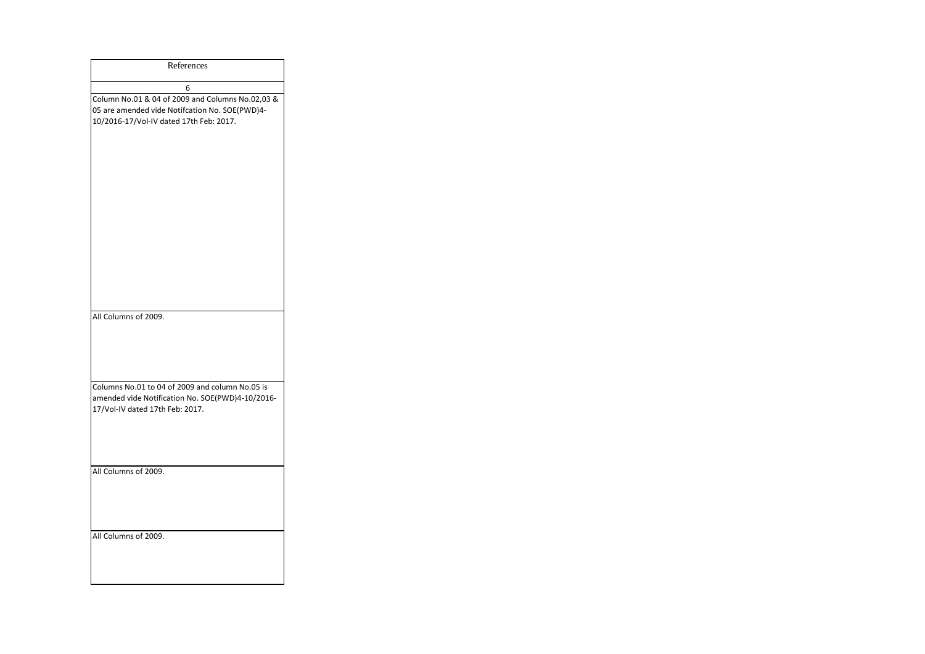| References                                                                                                                                    |
|-----------------------------------------------------------------------------------------------------------------------------------------------|
| 6                                                                                                                                             |
| Column No.01 & 04 of 2009 and Columns No.02,03 &<br>05 are amended vide Notifcation No. SOE(PWD)4-<br>10/2016-17/Vol-IV dated 17th Feb: 2017. |
| All Columns of 2009.                                                                                                                          |
| Columns No.01 to 04 of 2009 and column No.05 is<br>amended vide Notification No. SOE(PWD)4-10/2016-<br>17/Vol-IV dated 17th Feb: 2017.        |
| All Columns of 2009.                                                                                                                          |
| All Columns of 2009.                                                                                                                          |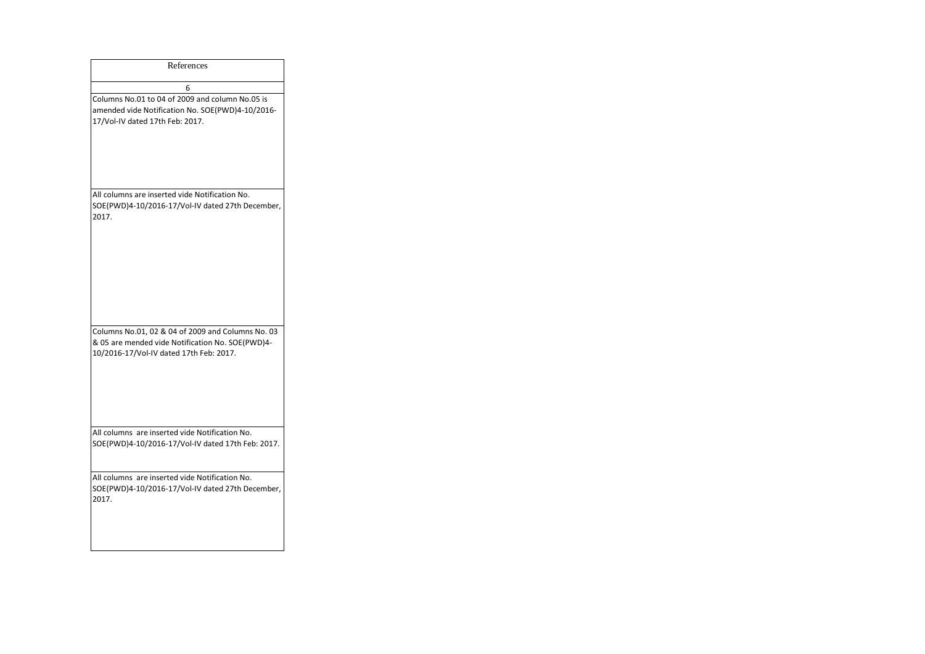| References                                                                                                                                       |
|--------------------------------------------------------------------------------------------------------------------------------------------------|
| 6                                                                                                                                                |
| Columns No.01 to 04 of 2009 and column No.05 is<br>amended vide Notification No. SOE(PWD)4-10/2016-<br>17/Vol-IV dated 17th Feb: 2017.           |
| All columns are inserted vide Notification No.<br>SOE(PWD)4-10/2016-17/Vol-IV dated 27th December,<br>2017.                                      |
| Columns No.01, 02 & 04 of 2009 and Columns No. 03<br>& 05 are mended vide Notification No. SOE(PWD)4-<br>10/2016-17/Vol-IV dated 17th Feb: 2017. |
| All columns are inserted vide Notification No.<br>SOE(PWD)4-10/2016-17/Vol-IV dated 17th Feb: 2017.                                              |
| All columns are inserted vide Notification No.<br>SOE(PWD)4-10/2016-17/Vol-IV dated 27th December,<br>2017.                                      |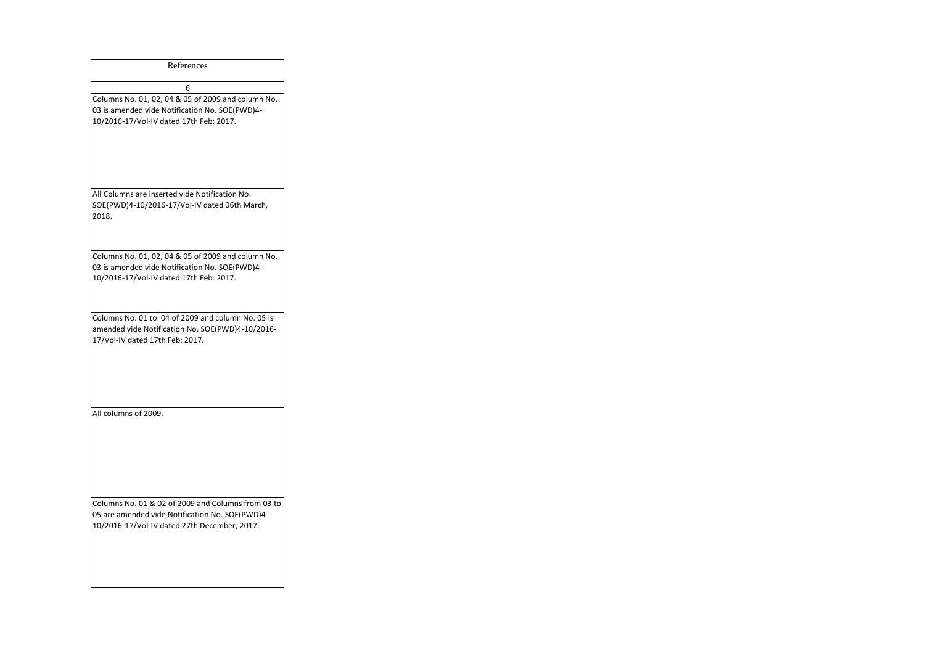| References                                                                                                                                            |
|-------------------------------------------------------------------------------------------------------------------------------------------------------|
| 6                                                                                                                                                     |
| Columns No. 01, 02, 04 & 05 of 2009 and column No.<br>03 is amended vide Notification No. SOE(PWD)4-<br>10/2016-17/Vol-IV dated 17th Feb: 2017.       |
| All Columns are inserted vide Notification No.<br>SOE(PWD)4-10/2016-17/Vol-IV dated 06th March,<br>2018.                                              |
| Columns No. 01, 02, 04 & 05 of 2009 and column No.<br>03 is amended vide Notification No. SOE(PWD)4-<br>10/2016-17/Vol-IV dated 17th Feb: 2017.       |
| Columns No. 01 to 04 of 2009 and column No. 05 is<br>amended vide Notification No. SOE(PWD)4-10/2016-<br>17/Vol-IV dated 17th Feb: 2017.              |
| All columns of 2009.                                                                                                                                  |
| Columns No. 01 & 02 of 2009 and Columns from 03 to<br>05 are amended vide Notification No. SOE(PWD)4-<br>10/2016-17/Vol-IV dated 27th December, 2017. |
|                                                                                                                                                       |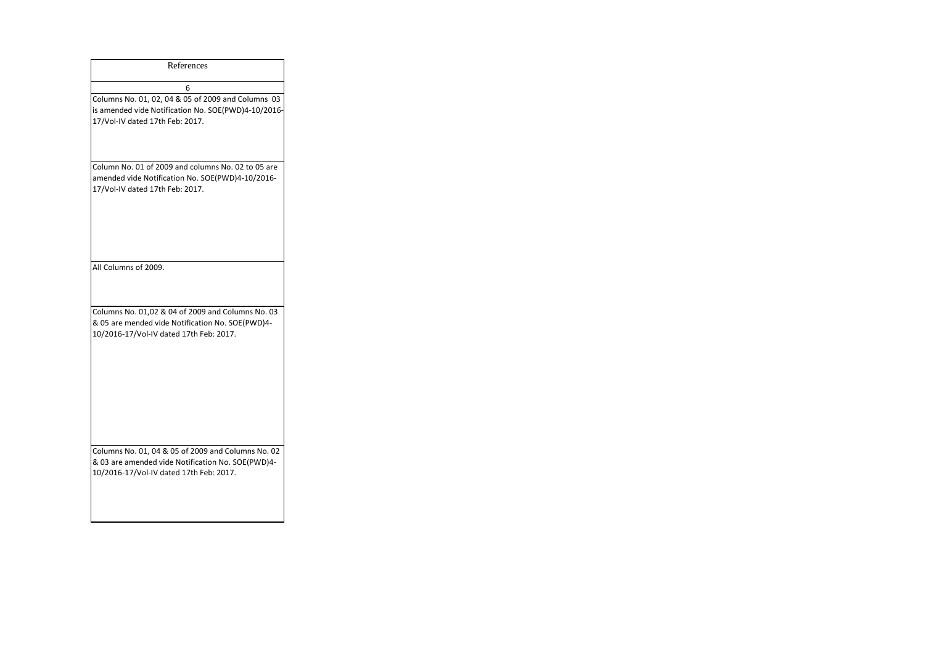| References                                                                                                                                         |
|----------------------------------------------------------------------------------------------------------------------------------------------------|
| 6                                                                                                                                                  |
| Columns No. 01, 02, 04 & 05 of 2009 and Columns 03<br>is amended vide Notification No. SOE(PWD)4-10/2016-<br>17/Vol-IV dated 17th Feb: 2017.       |
| Column No. 01 of 2009 and columns No. 02 to 05 are<br>amended vide Notification No. SOE(PWD)4-10/2016-<br>17/Vol-IV dated 17th Feb: 2017.          |
| All Columns of 2009.                                                                                                                               |
| Columns No. 01,02 & 04 of 2009 and Columns No. 03<br>& 05 are mended vide Notification No. SOE(PWD)4-<br>10/2016-17/Vol-IV dated 17th Feb: 2017.   |
| Columns No. 01, 04 & 05 of 2009 and Columns No. 02<br>& 03 are amended vide Notification No. SOE(PWD)4-<br>10/2016-17/Vol-IV dated 17th Feb: 2017. |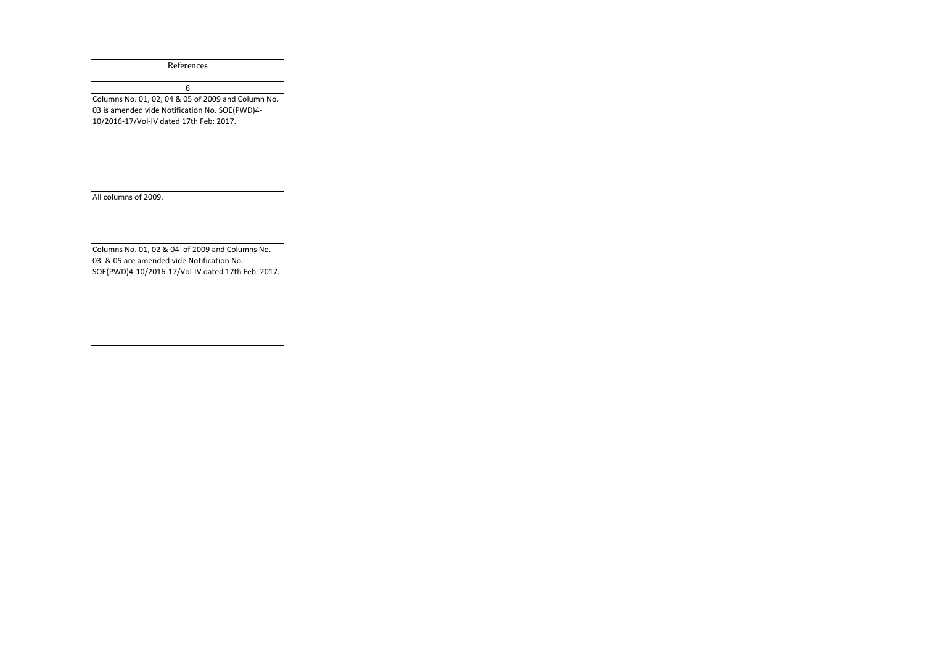| References                                                                                                                                        |
|---------------------------------------------------------------------------------------------------------------------------------------------------|
| 6                                                                                                                                                 |
| Columns No. 01, 02, 04 & 05 of 2009 and Column No.<br>03 is amended vide Notification No. SOE(PWD)4-<br>10/2016-17/Vol-IV dated 17th Feb: 2017.   |
| All columns of 2009.                                                                                                                              |
| Columns No. 01, 02 & 04 of 2009 and Columns No.<br>03 & 05 are amended vide Notification No.<br>SOE(PWD)4-10/2016-17/Vol-IV dated 17th Feb: 2017. |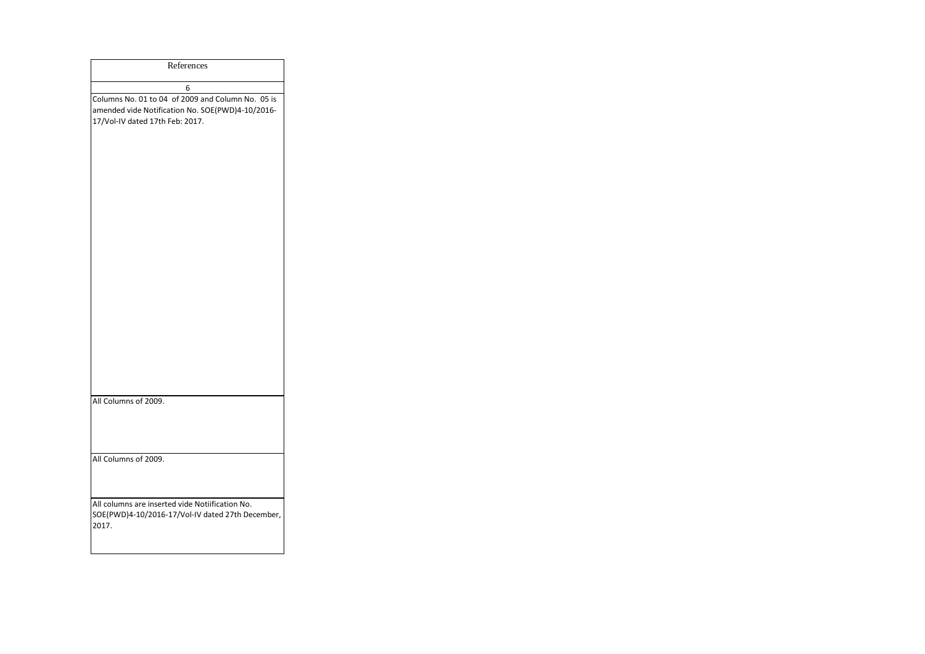| References                                                                                                                               |
|------------------------------------------------------------------------------------------------------------------------------------------|
| 6                                                                                                                                        |
| Columns No. 01 to 04 of 2009 and Column No. 05 is<br>amended vide Notification No. SOE(PWD)4-10/2016-<br>17/Vol-IV dated 17th Feb: 2017. |
| All Columns of 2009.                                                                                                                     |
|                                                                                                                                          |
| All Columns of 2009.                                                                                                                     |
| All columns are inserted vide Notiification No.<br>SOE(PWD)4-10/2016-17/Vol-IV dated 27th December,<br>2017.                             |